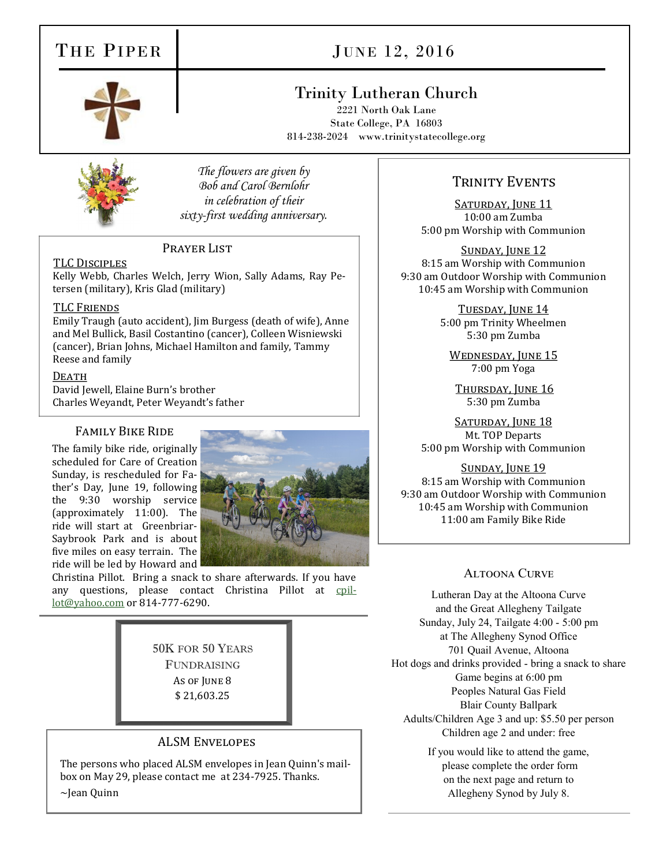## THE PIPER

# JUNE 12, 2016

## Trinity Lutheran Church

2221 North Oak Lane State College, PA 16803 814-238-2024 www.trinitystatecollege.org



*The flowers are given by Bob and Carol Bernlohr in celebration of their sixty-first wedding anniversary.*

#### PRAYER LIST

TLC Disciples

Kelly Webb, Charles Welch, Jerry Wion, Sally Adams, Ray Petersen (military), Kris Glad (military)

#### TLC Friends

Emily Traugh (auto accident), Jim Burgess (death of wife), Anne and Mel Bullick, Basil Costantino (cancer), Colleen Wisniewski (cancer), Brian Johns, Michael Hamilton and family, Tammy Reese and family

#### DEATH

David Jewell, Elaine Burn's brother Charles Weyandt, Peter Weyandt's father

#### Family Bike Ride

The family bike ride, originally scheduled for Care of Creation Sunday, is rescheduled for Father's Day, June 19, following the 9:30 worship service (approximately 11:00). The ride will start at Greenbriar-Saybrook Park and is about five miles on easy terrain. The ride will be led by Howard and



Christina Pillot. Bring a snack to share afterwards. If you have any questions, please contact Christina Pillot at [cpil](javascript:window.top.ZmObjectManager.__doClickObject(document.getElementById(%22OBJ_PREFIX_DWT1745_com_zimbra_email%22));)[lot@yahoo.com](javascript:window.top.ZmObjectManager.__doClickObject(document.getElementById(%22OBJ_PREFIX_DWT1745_com_zimbra_email%22));) or 814-777-6290.

> 50K FOR 50 YEARS FUNDRAISING As of June 8 \$ 21,603.25

#### ALSM Envelopes

The persons who placed ALSM envelopes in Jean Quinn's mailbox on May 29, please contact me at 234-7925. Thanks.

~Jean Quinn

### TRINITY EVENTS

SATURDAY, JUNE 11 10:00 am Zumba 5:00 pm Worship with Communion

Sunday, June 12 8:15 am Worship with Communion 9:30 am Outdoor Worship with Communion 10:45 am Worship with Communion

> Tuesday, June 14 5:00 pm Trinity Wheelmen 5:30 pm Zumba

WEDNESDAY, JUNE 15 7:00 pm Yoga

THURSDAY, JUNE 16 5:30 pm Zumba

SATURDAY, JUNE 18 Mt. TOP Departs 5:00 pm Worship with Communion

#### SUNDAY, JUNE 19

8:15 am Worship with Communion 9:30 am Outdoor Worship with Communion 10:45 am Worship with Communion 11:00 am Family Bike Ride

#### Altoona Curve

Lutheran Day at the Altoona Curve and the Great Allegheny Tailgate Sunday, July 24, Tailgate 4:00 - 5:00 pm at The Allegheny Synod Office 701 Quail Avenue, Altoona Hot dogs and drinks provided - bring a snack to share Game begins at 6:00 pm Peoples Natural Gas Field Blair County Ballpark Adults/Children Age 3 and up: \$5.50 per person Children age 2 and under: free

> If you would like to attend the game, please complete the order form on the next page and return to Allegheny Synod by July 8.